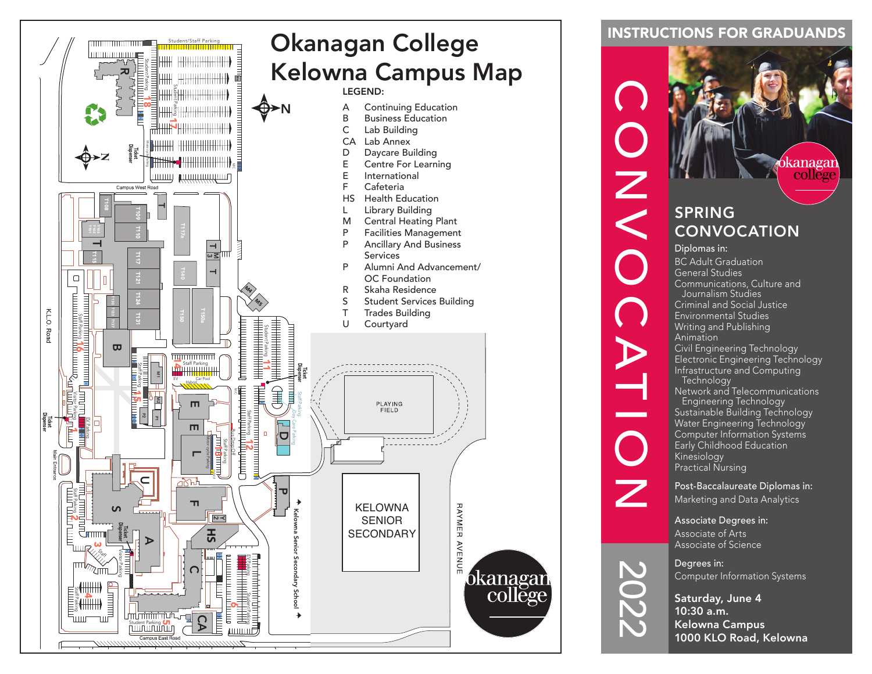

### INSTRUCTIONS FOR GRADUANDS



Computer Information Systems

Saturday, June 4 10:30 a.m. Kelowna Campus 1000 KLO Road, Kelowna